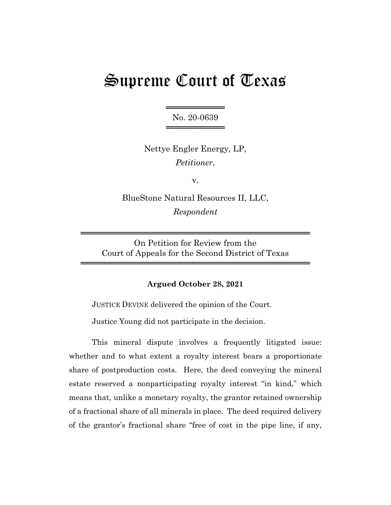# Supreme Court of Texas

══════════════════ No. 20-0639 ════════════════

Nettye Engler Energy, LP, *Petitioner*,

v.

BlueStone Natural Resources II, LLC, *Respondent*

On Petition for Review from the Court of Appeals for the Second District of Texas

═══════════════════════════════════════

═══════════════════════════════════════

# **Argued October 28, 2021**

JUSTICE DEVINE delivered the opinion of the Court.

Justice Young did not participate in the decision.

This mineral dispute involves a frequently litigated issue: whether and to what extent a royalty interest bears a proportionate share of postproduction costs. Here, the deed conveying the mineral estate reserved a nonparticipating royalty interest "in kind," which means that, unlike a monetary royalty, the grantor retained ownership of a fractional share of all minerals in place. The deed required delivery of the grantor's fractional share "free of cost in the pipe line, if any,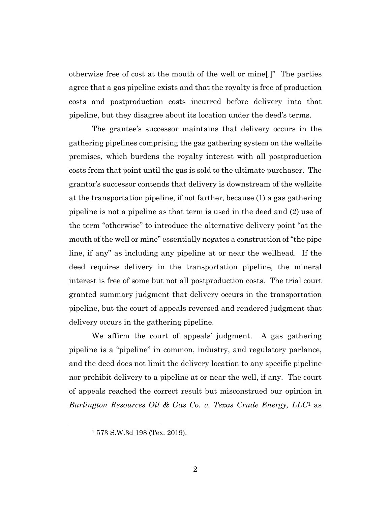otherwise free of cost at the mouth of the well or mine[.]" The parties agree that a gas pipeline exists and that the royalty is free of production costs and postproduction costs incurred before delivery into that pipeline, but they disagree about its location under the deed's terms.

The grantee's successor maintains that delivery occurs in the gathering pipelines comprising the gas gathering system on the wellsite premises, which burdens the royalty interest with all postproduction costs from that point until the gas is sold to the ultimate purchaser. The grantor's successor contends that delivery is downstream of the wellsite at the transportation pipeline, if not farther, because (1) a gas gathering pipeline is not a pipeline as that term is used in the deed and (2) use of the term "otherwise" to introduce the alternative delivery point "at the mouth of the well or mine" essentially negates a construction of "the pipe line, if any" as including any pipeline at or near the wellhead. If the deed requires delivery in the transportation pipeline, the mineral interest is free of some but not all postproduction costs. The trial court granted summary judgment that delivery occurs in the transportation pipeline, but the court of appeals reversed and rendered judgment that delivery occurs in the gathering pipeline.

We affirm the court of appeals' judgment. A gas gathering pipeline is a "pipeline" in common, industry, and regulatory parlance, and the deed does not limit the delivery location to any specific pipeline nor prohibit delivery to a pipeline at or near the well, if any. The court of appeals reached the correct result but misconstrued our opinion in *Burlington Resources Oil & Gas Co. v. Texas Crude Energy, LLC*<sup>1</sup> as

<sup>1</sup> 573 S.W.3d 198 (Tex. 2019).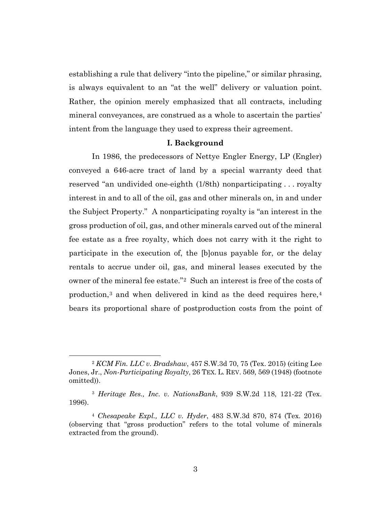establishing a rule that delivery "into the pipeline," or similar phrasing, is always equivalent to an "at the well" delivery or valuation point. Rather, the opinion merely emphasized that all contracts, including mineral conveyances, are construed as a whole to ascertain the parties' intent from the language they used to express their agreement.

#### **I. Background**

In 1986, the predecessors of Nettye Engler Energy, LP (Engler) conveyed a 646-acre tract of land by a special warranty deed that reserved "an undivided one-eighth (1/8th) nonparticipating . . . royalty interest in and to all of the oil, gas and other minerals on, in and under the Subject Property." A nonparticipating royalty is "an interest in the gross production of oil, gas, and other minerals carved out of the mineral fee estate as a free royalty, which does not carry with it the right to participate in the execution of, the [b]onus payable for, or the delay rentals to accrue under oil, gas, and mineral leases executed by the owner of the mineral fee estate."2 Such an interest is free of the costs of production,3 and when delivered in kind as the deed requires here,4 bears its proportional share of postproduction costs from the point of

<sup>2</sup> *KCM Fin. LLC v. Bradshaw*, 457 S.W.3d 70, 75 (Tex. 2015) (citing Lee Jones, Jr., *Non-Participating Royalty*, 26 TEX. L. REV. 569, 569 (1948) (footnote omitted)).

<sup>3</sup> *Heritage Res., Inc. v. NationsBank*, 939 S.W.2d 118, 121-22 (Tex. 1996).

<sup>4</sup> *Chesapeake Expl., LLC v. Hyder*, 483 S.W.3d 870, 874 (Tex. 2016) (observing that "gross production" refers to the total volume of minerals extracted from the ground).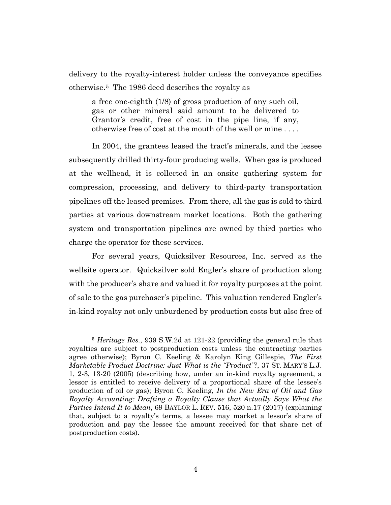delivery to the royalty-interest holder unless the conveyance specifies otherwise.5 The 1986 deed describes the royalty as

a free one-eighth (1/8) of gross production of any such oil, gas or other mineral said amount to be delivered to Grantor's credit, free of cost in the pipe line, if any, otherwise free of cost at the mouth of the well or mine . . . .

In 2004, the grantees leased the tract's minerals, and the lessee subsequently drilled thirty-four producing wells. When gas is produced at the wellhead, it is collected in an onsite gathering system for compression, processing, and delivery to third-party transportation pipelines off the leased premises. From there, all the gas is sold to third parties at various downstream market locations. Both the gathering system and transportation pipelines are owned by third parties who charge the operator for these services.

For several years, Quicksilver Resources, Inc. served as the wellsite operator. Quicksilver sold Engler's share of production along with the producer's share and valued it for royalty purposes at the point of sale to the gas purchaser's pipeline. This valuation rendered Engler's in-kind royalty not only unburdened by production costs but also free of

<sup>5</sup> *Heritage Res.*, 939 S.W.2d at 121-22 (providing the general rule that royalties are subject to postproduction costs unless the contracting parties agree otherwise); Byron C. Keeling & Karolyn King Gillespie, *The First Marketable Product Doctrine: Just What is the "Product"?*, 37 ST. MARY'S L.J. 1, 2-3, 13-20 (2005) (describing how, under an in-kind royalty agreement, a lessor is entitled to receive delivery of a proportional share of the lessee's production of oil or gas); Byron C. Keeling, *In the New Era of Oil and Gas Royalty Accounting: Drafting a Royalty Clause that Actually Says What the Parties Intend It to Mean*, 69 BAYLOR L. REV. 516, 520 n.17 (2017) (explaining that, subject to a royalty's terms, a lessee may market a lessor's share of production and pay the lessee the amount received for that share net of postproduction costs).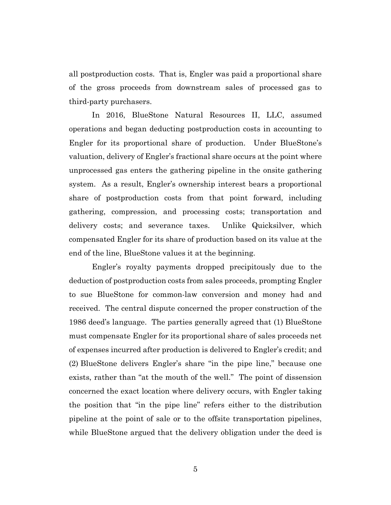all postproduction costs. That is, Engler was paid a proportional share of the gross proceeds from downstream sales of processed gas to third-party purchasers.

In 2016, BlueStone Natural Resources II, LLC, assumed operations and began deducting postproduction costs in accounting to Engler for its proportional share of production. Under BlueStone's valuation, delivery of Engler's fractional share occurs at the point where unprocessed gas enters the gathering pipeline in the onsite gathering system. As a result, Engler's ownership interest bears a proportional share of postproduction costs from that point forward, including gathering, compression, and processing costs; transportation and delivery costs; and severance taxes. Unlike Quicksilver, which compensated Engler for its share of production based on its value at the end of the line, BlueStone values it at the beginning.

Engler's royalty payments dropped precipitously due to the deduction of postproduction costs from sales proceeds, prompting Engler to sue BlueStone for common-law conversion and money had and received. The central dispute concerned the proper construction of the 1986 deed's language. The parties generally agreed that (1) BlueStone must compensate Engler for its proportional share of sales proceeds net of expenses incurred after production is delivered to Engler's credit; and (2) BlueStone delivers Engler's share "in the pipe line," because one exists, rather than "at the mouth of the well." The point of dissension concerned the exact location where delivery occurs, with Engler taking the position that "in the pipe line" refers either to the distribution pipeline at the point of sale or to the offsite transportation pipelines, while BlueStone argued that the delivery obligation under the deed is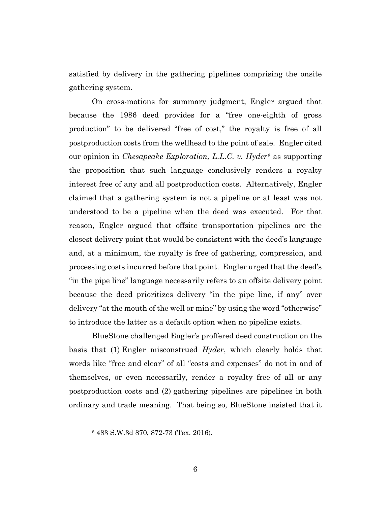satisfied by delivery in the gathering pipelines comprising the onsite gathering system.

On cross-motions for summary judgment, Engler argued that because the 1986 deed provides for a "free one-eighth of gross production" to be delivered "free of cost," the royalty is free of all postproduction costs from the wellhead to the point of sale. Engler cited our opinion in *Chesapeake Exploration, L.L.C. v. Hyder*<sup>6</sup> as supporting the proposition that such language conclusively renders a royalty interest free of any and all postproduction costs. Alternatively, Engler claimed that a gathering system is not a pipeline or at least was not understood to be a pipeline when the deed was executed. For that reason, Engler argued that offsite transportation pipelines are the closest delivery point that would be consistent with the deed's language and, at a minimum, the royalty is free of gathering, compression, and processing costs incurred before that point. Engler urged that the deed's "in the pipe line" language necessarily refers to an offsite delivery point because the deed prioritizes delivery "in the pipe line, if any" over delivery "at the mouth of the well or mine" by using the word "otherwise" to introduce the latter as a default option when no pipeline exists.

BlueStone challenged Engler's proffered deed construction on the basis that (1) Engler misconstrued *Hyder*, which clearly holds that words like "free and clear" of all "costs and expenses" do not in and of themselves, or even necessarily, render a royalty free of all or any postproduction costs and (2) gathering pipelines are pipelines in both ordinary and trade meaning. That being so, BlueStone insisted that it

<sup>6</sup> 483 S.W.3d 870, 872-73 (Tex. 2016).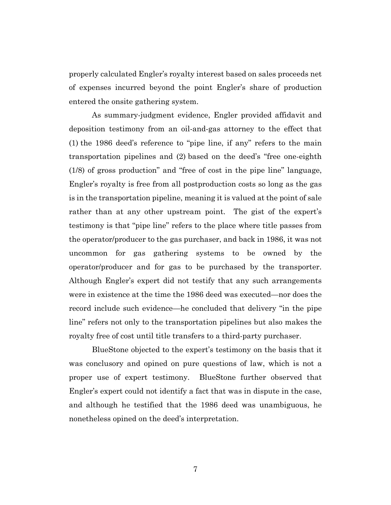properly calculated Engler's royalty interest based on sales proceeds net of expenses incurred beyond the point Engler's share of production entered the onsite gathering system.

As summary-judgment evidence, Engler provided affidavit and deposition testimony from an oil-and-gas attorney to the effect that (1) the 1986 deed's reference to "pipe line, if any" refers to the main transportation pipelines and (2) based on the deed's "free one-eighth (1/8) of gross production" and "free of cost in the pipe line" language, Engler's royalty is free from all postproduction costs so long as the gas is in the transportation pipeline, meaning it is valued at the point of sale rather than at any other upstream point. The gist of the expert's testimony is that "pipe line" refers to the place where title passes from the operator/producer to the gas purchaser, and back in 1986, it was not uncommon for gas gathering systems to be owned by the operator/producer and for gas to be purchased by the transporter. Although Engler's expert did not testify that any such arrangements were in existence at the time the 1986 deed was executed—nor does the record include such evidence—he concluded that delivery "in the pipe line" refers not only to the transportation pipelines but also makes the royalty free of cost until title transfers to a third-party purchaser.

BlueStone objected to the expert's testimony on the basis that it was conclusory and opined on pure questions of law, which is not a proper use of expert testimony. BlueStone further observed that Engler's expert could not identify a fact that was in dispute in the case, and although he testified that the 1986 deed was unambiguous, he nonetheless opined on the deed's interpretation.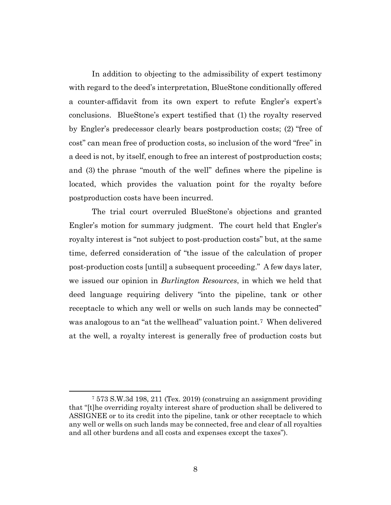In addition to objecting to the admissibility of expert testimony with regard to the deed's interpretation, BlueStone conditionally offered a counter-affidavit from its own expert to refute Engler's expert's conclusions. BlueStone's expert testified that (1) the royalty reserved by Engler's predecessor clearly bears postproduction costs; (2) "free of cost" can mean free of production costs, so inclusion of the word "free" in a deed is not, by itself, enough to free an interest of postproduction costs; and (3) the phrase "mouth of the well" defines where the pipeline is located, which provides the valuation point for the royalty before postproduction costs have been incurred.

The trial court overruled BlueStone's objections and granted Engler's motion for summary judgment. The court held that Engler's royalty interest is "not subject to post-production costs" but, at the same time, deferred consideration of "the issue of the calculation of proper post-production costs [until] a subsequent proceeding." A few days later, we issued our opinion in *Burlington Resources*, in which we held that deed language requiring delivery "into the pipeline, tank or other receptacle to which any well or wells on such lands may be connected" was analogous to an "at the wellhead" valuation point.<sup>7</sup> When delivered at the well, a royalty interest is generally free of production costs but

<sup>7</sup> 573 S.W.3d 198, 211 (Tex. 2019) (construing an assignment providing that "[t]he overriding royalty interest share of production shall be delivered to ASSIGNEE or to its credit into the pipeline, tank or other receptacle to which any well or wells on such lands may be connected, free and clear of all royalties and all other burdens and all costs and expenses except the taxes").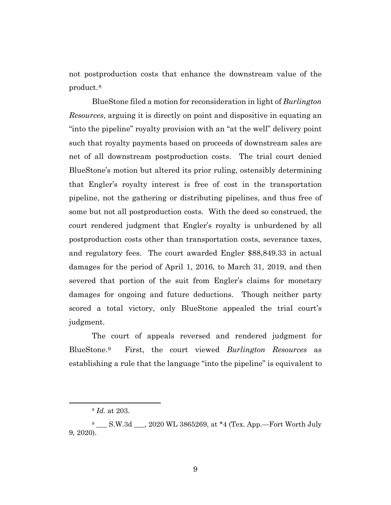not postproduction costs that enhance the downstream value of the product.8

BlueStone filed a motion for reconsideration in light of *Burlington Resources*, arguing it is directly on point and dispositive in equating an "into the pipeline" royalty provision with an "at the well" delivery point such that royalty payments based on proceeds of downstream sales are net of all downstream postproduction costs. The trial court denied BlueStone's motion but altered its prior ruling, ostensibly determining that Engler's royalty interest is free of cost in the transportation pipeline, not the gathering or distributing pipelines, and thus free of some but not all postproduction costs. With the deed so construed, the court rendered judgment that Engler's royalty is unburdened by all postproduction costs other than transportation costs, severance taxes, and regulatory fees. The court awarded Engler \$88,849.33 in actual damages for the period of April 1, 2016, to March 31, 2019, and then severed that portion of the suit from Engler's claims for monetary damages for ongoing and future deductions. Though neither party scored a total victory, only BlueStone appealed the trial court's judgment.

The court of appeals reversed and rendered judgment for BlueStone.9 First, the court viewed *Burlington Resources* as establishing a rule that the language "into the pipeline" is equivalent to

<sup>8</sup> *Id.* at 203.

<sup>&</sup>lt;sup>9</sup> \_\_\_\_ S.W.3d \_\_\_, 2020 WL 3865269, at \*4 (Tex. App.-Fort Worth July 9, 2020).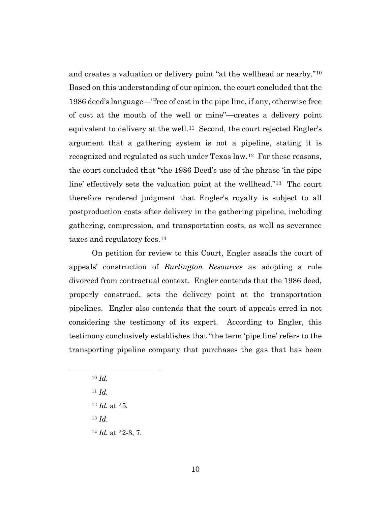and creates a valuation or delivery point "at the wellhead or nearby."10 Based on this understanding of our opinion, the court concluded that the 1986 deed's language—"free of cost in the pipe line, if any, otherwise free of cost at the mouth of the well or mine"—creates a delivery point equivalent to delivery at the well.11 Second, the court rejected Engler's argument that a gathering system is not a pipeline, stating it is recognized and regulated as such under Texas law.12 For these reasons, the court concluded that "the 1986 Deed's use of the phrase 'in the pipe line' effectively sets the valuation point at the wellhead."13 The court therefore rendered judgment that Engler's royalty is subject to all postproduction costs after delivery in the gathering pipeline, including gathering, compression, and transportation costs, as well as severance taxes and regulatory fees.14

On petition for review to this Court, Engler assails the court of appeals' construction of *Burlington Resources* as adopting a rule divorced from contractual context. Engler contends that the 1986 deed, properly construed, sets the delivery point at the transportation pipelines. Engler also contends that the court of appeals erred in not considering the testimony of its expert. According to Engler, this testimony conclusively establishes that "the term 'pipe line' refers to the transporting pipeline company that purchases the gas that has been

- <sup>10</sup> *Id.*
- <sup>11</sup> *Id.*
- <sup>12</sup> *Id.* at \*5.
- <sup>13</sup> *Id*.
- <sup>14</sup> *Id.* at \*2-3, 7.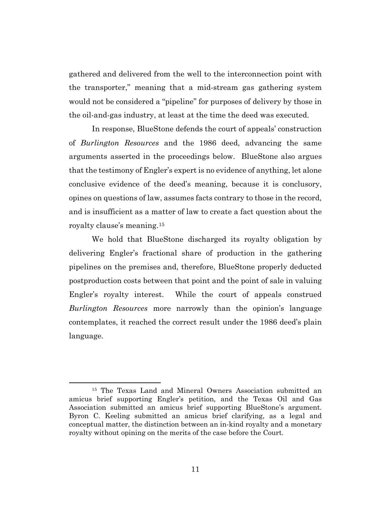gathered and delivered from the well to the interconnection point with the transporter," meaning that a mid-stream gas gathering system would not be considered a "pipeline" for purposes of delivery by those in the oil-and-gas industry, at least at the time the deed was executed.

In response, BlueStone defends the court of appeals' construction of *Burlington Resources* and the 1986 deed, advancing the same arguments asserted in the proceedings below. BlueStone also argues that the testimony of Engler's expert is no evidence of anything, let alone conclusive evidence of the deed's meaning, because it is conclusory, opines on questions of law, assumes facts contrary to those in the record, and is insufficient as a matter of law to create a fact question about the royalty clause's meaning.15

We hold that BlueStone discharged its royalty obligation by delivering Engler's fractional share of production in the gathering pipelines on the premises and, therefore, BlueStone properly deducted postproduction costs between that point and the point of sale in valuing Engler's royalty interest. While the court of appeals construed *Burlington Resources* more narrowly than the opinion's language contemplates, it reached the correct result under the 1986 deed's plain language.

<sup>15</sup> The Texas Land and Mineral Owners Association submitted an amicus brief supporting Engler's petition, and the Texas Oil and Gas Association submitted an amicus brief supporting BlueStone's argument. Byron C. Keeling submitted an amicus brief clarifying, as a legal and conceptual matter, the distinction between an in-kind royalty and a monetary royalty without opining on the merits of the case before the Court.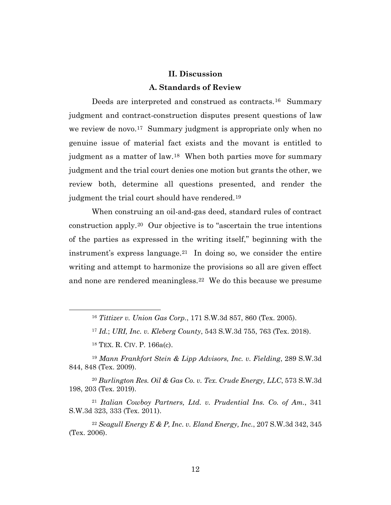## **II. Discussion**

## **A. Standards of Review**

Deeds are interpreted and construed as contracts.<sup>16</sup> Summary judgment and contract-construction disputes present questions of law we review de novo.<sup>17</sup> Summary judgment is appropriate only when no genuine issue of material fact exists and the movant is entitled to judgment as a matter of law.18 When both parties move for summary judgment and the trial court denies one motion but grants the other, we review both, determine all questions presented, and render the judgment the trial court should have rendered.19

When construing an oil-and-gas deed, standard rules of contract construction apply.20 Our objective is to "ascertain the true intentions of the parties as expressed in the writing itself," beginning with the instrument's express language.<sup>21</sup> In doing so, we consider the entire writing and attempt to harmonize the provisions so all are given effect and none are rendered meaningless.22 We do this because we presume

<sup>16</sup> *Tittizer v. Union Gas Corp.*, 171 S.W.3d 857, 860 (Tex. 2005).

<sup>17</sup> *Id.*; *URI, Inc. v. Kleberg County*, 543 S.W.3d 755, 763 (Tex. 2018).

<sup>18</sup> TEX. R. CIV. P. 166a(c).

<sup>19</sup> *Mann Frankfort Stein & Lipp Advisors, Inc. v. Fielding*, 289 S.W.3d 844, 848 (Tex. 2009).

<sup>20</sup> *Burlington Res. Oil & Gas Co. v. Tex. Crude Energy, LLC*, 573 S.W.3d 198, 203 (Tex. 2019).

<sup>21</sup> *Italian Cowboy Partners, Ltd. v. Prudential Ins. Co. of Am.*, 341 S.W.3d 323, 333 (Tex. 2011).

<sup>22</sup> *Seagull Energy E & P, Inc. v. Eland Energy, Inc.*, 207 S.W.3d 342, 345 (Tex. 2006).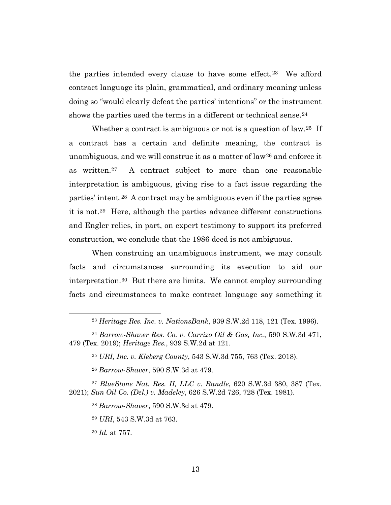the parties intended every clause to have some effect.23 We afford contract language its plain, grammatical, and ordinary meaning unless doing so "would clearly defeat the parties' intentions" or the instrument shows the parties used the terms in a different or technical sense.<sup>24</sup>

Whether a contract is ambiguous or not is a question of law.<sup>25</sup> If a contract has a certain and definite meaning, the contract is unambiguous, and we will construe it as a matter of  $law^{26}$  and enforce it as written.27 A contract subject to more than one reasonable interpretation is ambiguous, giving rise to a fact issue regarding the parties' intent.28 A contract may be ambiguous even if the parties agree it is not.29 Here, although the parties advance different constructions and Engler relies, in part, on expert testimony to support its preferred construction, we conclude that the 1986 deed is not ambiguous.

When construing an unambiguous instrument, we may consult facts and circumstances surrounding its execution to aid our interpretation.30 But there are limits. We cannot employ surrounding facts and circumstances to make contract language say something it

<sup>23</sup> *Heritage Res. Inc. v. NationsBank*, 939 S.W.2d 118, 121 (Tex. 1996).

<sup>24</sup> *Barrow-Shaver Res. Co. v. Carrizo Oil & Gas, Inc.*, 590 S.W.3d 471, 479 (Tex. 2019); *Heritage Res.*, 939 S.W.2d at 121.

<sup>25</sup> *URI, Inc. v. Kleberg County*, 543 S.W.3d 755, 763 (Tex. 2018).

<sup>26</sup> *Barrow-Shaver*, 590 S.W.3d at 479.

<sup>27</sup> *BlueStone Nat. Res. II, LLC v. Randle*, 620 S.W.3d 380, 387 (Tex. 2021); *Sun Oil Co. (Del.) v. Madeley*, 626 S.W.2d 726, 728 (Tex. 1981).

<sup>28</sup> *Barrow-Shaver*, 590 S.W.3d at 479.

<sup>29</sup> *URI*, 543 S.W.3d at 763.

<sup>30</sup> *Id.* at 757.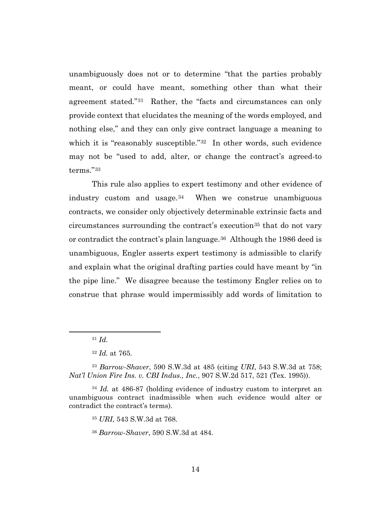unambiguously does not or to determine "that the parties probably meant, or could have meant, something other than what their agreement stated."31 Rather, the "facts and circumstances can only provide context that elucidates the meaning of the words employed, and nothing else," and they can only give contract language a meaning to which it is "reasonably susceptible."<sup>32</sup> In other words, such evidence may not be "used to add, alter, or change the contract's agreed-to terms."33

This rule also applies to expert testimony and other evidence of industry custom and usage. $34$  When we construe unambiguous contracts, we consider only objectively determinable extrinsic facts and circumstances surrounding the contract's execution<sup>35</sup> that do not vary or contradict the contract's plain language.<sup>36</sup> Although the 1986 deed is unambiguous, Engler asserts expert testimony is admissible to clarify and explain what the original drafting parties could have meant by "in the pipe line." We disagree because the testimony Engler relies on to construe that phrase would impermissibly add words of limitation to

<sup>31</sup> *Id.*

<sup>32</sup> *Id.* at 765.

<sup>33</sup> *Barrow-Shaver*, 590 S.W.3d at 485 (citing *URI*, 543 S.W.3d at 758; *Nat'l Union Fire Ins. v. CBI Indus., Inc.*, 907 S.W.2d 517, 521 (Tex. 1995)).

<sup>34</sup> *Id.* at 486-87 (holding evidence of industry custom to interpret an unambiguous contract inadmissible when such evidence would alter or contradict the contract's terms).

<sup>35</sup> *URI*, 543 S.W.3d at 768.

<sup>36</sup> *Barrow-Shaver*, 590 S.W.3d at 484.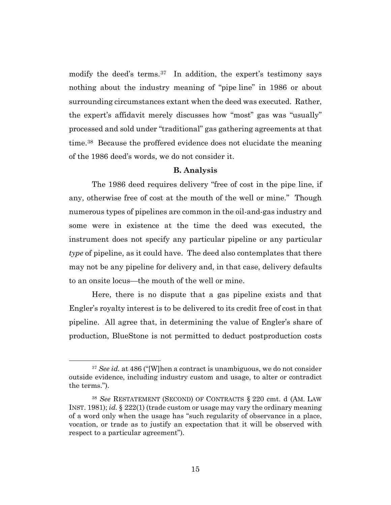modify the deed's terms.<sup>37</sup> In addition, the expert's testimony says nothing about the industry meaning of "pipe line" in 1986 or about surrounding circumstances extant when the deed was executed. Rather, the expert's affidavit merely discusses how "most" gas was "usually" processed and sold under "traditional" gas gathering agreements at that time.38 Because the proffered evidence does not elucidate the meaning of the 1986 deed's words, we do not consider it.

#### **B. Analysis**

The 1986 deed requires delivery "free of cost in the pipe line, if any, otherwise free of cost at the mouth of the well or mine." Though numerous types of pipelines are common in the oil-and-gas industry and some were in existence at the time the deed was executed, the instrument does not specify any particular pipeline or any particular *type* of pipeline, as it could have. The deed also contemplates that there may not be any pipeline for delivery and, in that case, delivery defaults to an onsite locus—the mouth of the well or mine.

Here, there is no dispute that a gas pipeline exists and that Engler's royalty interest is to be delivered to its credit free of cost in that pipeline. All agree that, in determining the value of Engler's share of production, BlueStone is not permitted to deduct postproduction costs

<sup>&</sup>lt;sup>37</sup> *See id.* at 486 ("[W]hen a contract is unambiguous, we do not consider outside evidence, including industry custom and usage, to alter or contradict the terms.").

<sup>38</sup> *See* RESTATEMENT (SECOND) OF CONTRACTS § 220 cmt. d (AM. LAW INST. 1981); *id.* § 222(1) (trade custom or usage may vary the ordinary meaning of a word only when the usage has "such regularity of observance in a place, vocation, or trade as to justify an expectation that it will be observed with respect to a particular agreement").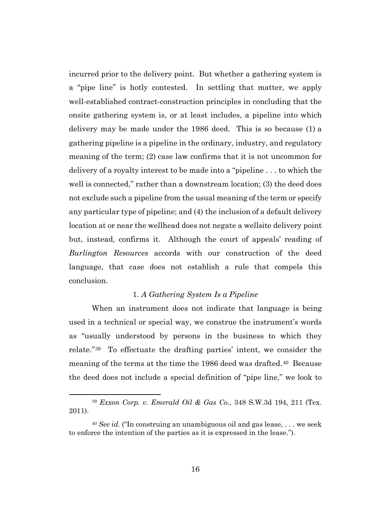incurred prior to the delivery point. But whether a gathering system is a "pipe line" is hotly contested. In settling that matter, we apply well-established contract-construction principles in concluding that the onsite gathering system is, or at least includes, a pipeline into which delivery may be made under the 1986 deed. This is so because (1) a gathering pipeline is a pipeline in the ordinary, industry, and regulatory meaning of the term; (2) case law confirms that it is not uncommon for delivery of a royalty interest to be made into a "pipeline . . . to which the well is connected," rather than a downstream location; (3) the deed does not exclude such a pipeline from the usual meaning of the term or specify any particular type of pipeline; and (4) the inclusion of a default delivery location at or near the wellhead does not negate a wellsite delivery point but, instead, confirms it. Although the court of appeals' reading of *Burlington Resources* accords with our construction of the deed language, that case does not establish a rule that compels this conclusion.

## 1. *A Gathering System Is a Pipeline*

When an instrument does not indicate that language is being used in a technical or special way, we construe the instrument's words as "usually understood by persons in the business to which they relate."39 To effectuate the drafting parties' intent, we consider the meaning of the terms at the time the 1986 deed was drafted.<sup>40</sup> Because the deed does not include a special definition of "pipe line," we look to

<sup>39</sup> *Exxon Corp. v. Emerald Oil & Gas Co.*, 348 S.W.3d 194, 211 (Tex. 2011).

<sup>40</sup> *See id.* ("In construing an unambiguous oil and gas lease, . . . we seek to enforce the intention of the parties as it is expressed in the lease.").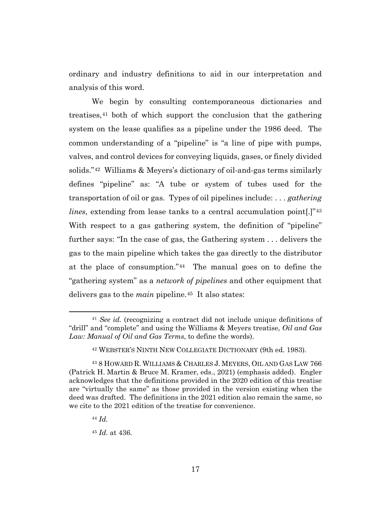ordinary and industry definitions to aid in our interpretation and analysis of this word.

We begin by consulting contemporaneous dictionaries and treatises,41 both of which support the conclusion that the gathering system on the lease qualifies as a pipeline under the 1986 deed. The common understanding of a "pipeline" is "a line of pipe with pumps, valves, and control devices for conveying liquids, gases, or finely divided solids."42 Williams & Meyers's dictionary of oil-and-gas terms similarly defines "pipeline" as: "A tube or system of tubes used for the transportation of oil or gas. Types of oil pipelines include: . . . *gathering lines*, extending from lease tanks to a central accumulation point.<sup>[1743</sup>] With respect to a gas gathering system, the definition of "pipeline" further says: "In the case of gas, the Gathering system . . . delivers the gas to the main pipeline which takes the gas directly to the distributor at the place of consumption."44 The manual goes on to define the "gathering system" as a *network of pipelines* and other equipment that delivers gas to the *main* pipeline.45 It also states:

<sup>41</sup> *See id.* (recognizing a contract did not include unique definitions of "drill" and "complete" and using the Williams & Meyers treatise, *Oil and Gas Law: Manual of Oil and Gas Terms*, to define the words).

<sup>42</sup> WEBSTER'S NINTH NEW COLLEGIATE DICTIONARY (9th ed. 1983).

<sup>43</sup> 8 HOWARD R. WILLIAMS & CHARLES J. MEYERS, OIL AND GAS LAW 766 (Patrick H. Martin & Bruce M. Kramer, eds., 2021) (emphasis added). Engler acknowledges that the definitions provided in the 2020 edition of this treatise are "virtually the same" as those provided in the version existing when the deed was drafted. The definitions in the 2021 edition also remain the same, so we cite to the 2021 edition of the treatise for convenience.

<sup>44</sup> *Id.*

<sup>45</sup> *Id.* at 436.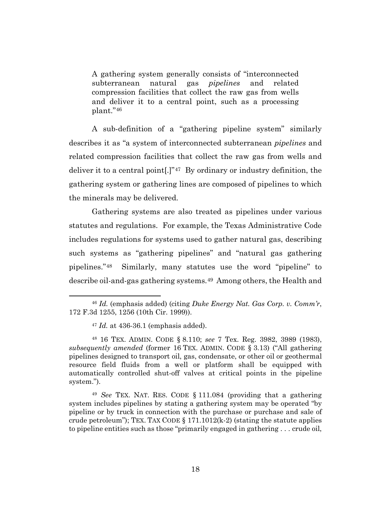A gathering system generally consists of "interconnected subterranean natural gas *pipelines* and related compression facilities that collect the raw gas from wells and deliver it to a central point, such as a processing plant."46

A sub-definition of a "gathering pipeline system" similarly describes it as "a system of interconnected subterranean *pipelines* and related compression facilities that collect the raw gas from wells and deliver it to a central point[.]"47 By ordinary or industry definition, the gathering system or gathering lines are composed of pipelines to which the minerals may be delivered.

Gathering systems are also treated as pipelines under various statutes and regulations. For example, the Texas Administrative Code includes regulations for systems used to gather natural gas, describing such systems as "gathering pipelines" and "natural gas gathering pipelines."48 Similarly, many statutes use the word "pipeline" to describe oil-and-gas gathering systems.49 Among others, the Health and

<sup>46</sup> *Id.* (emphasis added) (citing *Duke Energy Nat. Gas Corp. v. Comm'r*, 172 F.3d 1255, 1256 (10th Cir. 1999)).

<sup>47</sup> *Id.* at 436-36.1 (emphasis added).

<sup>48</sup> 16 TEX. ADMIN. CODE § 8.110; *see* 7 Tex. Reg. 3982, 3989 (1983), *subsequently amended* (former 16 TEX. ADMIN. CODE § 3.13) ("All gathering pipelines designed to transport oil, gas, condensate, or other oil or geothermal resource field fluids from a well or platform shall be equipped with automatically controlled shut-off valves at critical points in the pipeline system.").

<sup>49</sup> *See* TEX. NAT. RES. CODE § 111.084 (providing that a gathering system includes pipelines by stating a gathering system may be operated "by pipeline or by truck in connection with the purchase or purchase and sale of crude petroleum"); TEX. TAX CODE  $\S 171.1012(k-2)$  (stating the statute applies to pipeline entities such as those "primarily engaged in gathering . . . crude oil,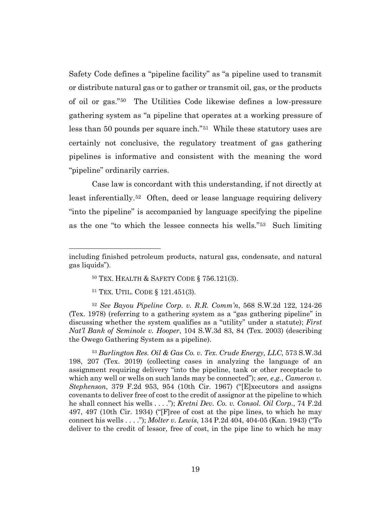Safety Code defines a "pipeline facility" as "a pipeline used to transmit or distribute natural gas or to gather or transmit oil, gas, or the products of oil or gas."50 The Utilities Code likewise defines a low-pressure gathering system as "a pipeline that operates at a working pressure of less than 50 pounds per square inch."51 While these statutory uses are certainly not conclusive, the regulatory treatment of gas gathering pipelines is informative and consistent with the meaning the word "pipeline" ordinarily carries.

Case law is concordant with this understanding, if not directly at least inferentially.52 Often, deed or lease language requiring delivery "into the pipeline" is accompanied by language specifying the pipeline as the one "to which the lessee connects his wells."53 Such limiting

<sup>52</sup> *See Bayou Pipeline Corp. v. R.R. Comm'n*, 568 S.W.2d 122, 124-26 (Tex. 1978) (referring to a gathering system as a "gas gathering pipeline" in discussing whether the system qualifies as a "utility" under a statute); *First Nat'l Bank of Seminole v. Hooper*, 104 S.W.3d 83, 84 (Tex. 2003) (describing the Owego Gathering System as a pipeline).

<sup>53</sup> *Burlington Res. Oil & Gas Co. v. Tex. Crude Energy, LLC*, 573 S.W.3d 198, 207 (Tex. 2019) (collecting cases in analyzing the language of an assignment requiring delivery "into the pipeline, tank or other receptacle to which any well or wells on such lands may be connected"); *see, e.g.*, *Cameron v. Stephenson*, 379 F.2d 953, 954 (10th Cir. 1967) ("[E]xecutors and assigns covenants to deliver free of cost to the credit of assignor at the pipeline to which he shall connect his wells . . . ."); *Kretni Dev. Co. v. Consol. Oil Corp*., 74 F.2d 497, 497 (10th Cir. 1934) ("[F]ree of cost at the pipe lines, to which he may connect his wells . . . ."); *Molter v. Lewis*, 134 P.2d 404, 404-05 (Kan. 1943) ("To deliver to the credit of lessor, free of cost, in the pipe line to which he may

including finished petroleum products, natural gas, condensate, and natural gas liquids").

<sup>50</sup> TEX. HEALTH & SAFETY CODE § 756.121(3).

<sup>51</sup> TEX. UTIL. CODE § 121.451(3).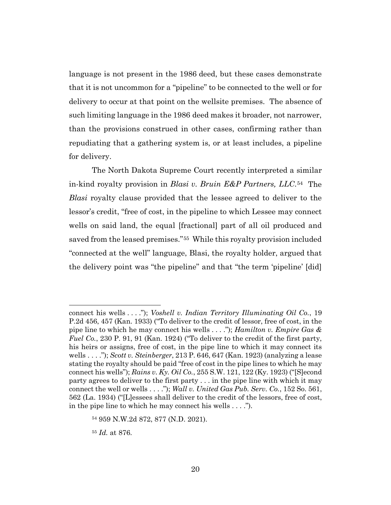language is not present in the 1986 deed, but these cases demonstrate that it is not uncommon for a "pipeline" to be connected to the well or for delivery to occur at that point on the wellsite premises. The absence of such limiting language in the 1986 deed makes it broader, not narrower, than the provisions construed in other cases, confirming rather than repudiating that a gathering system is, or at least includes, a pipeline for delivery.

The North Dakota Supreme Court recently interpreted a similar in-kind royalty provision in *Blasi v. Bruin E&P Partners, LLC*.54 The *Blasi* royalty clause provided that the lessee agreed to deliver to the lessor's credit, "free of cost, in the pipeline to which Lessee may connect wells on said land, the equal [fractional] part of all oil produced and saved from the leased premises."55 While this royalty provision included "connected at the well" language, Blasi, the royalty holder, argued that the delivery point was "the pipeline" and that "the term 'pipeline' [did]

connect his wells . . . ."); *Voshell v. Indian Territory Illuminating Oil Co.*, 19 P.2d 456, 457 (Kan. 1933) ("To deliver to the credit of lessor, free of cost, in the pipe line to which he may connect his wells . . . ."); *Hamilton v. Empire Gas & Fuel Co.*, 230 P. 91, 91 (Kan. 1924) ("To deliver to the credit of the first party, his heirs or assigns, free of cost, in the pipe line to which it may connect its wells . . . ."); *Scott v. Steinberger*, 213 P. 646, 647 (Kan. 1923) (analyzing a lease stating the royalty should be paid "free of cost in the pipe lines to which he may connect his wells"); *Rains v. Ky. Oil Co.*, 255 S.W. 121, 122 (Ky. 1923) ("[S]econd party agrees to deliver to the first party . . . in the pipe line with which it may connect the well or wells . . . ."); *Wall v. United Gas Pub. Serv. Co.*, 152 So. 561, 562 (La. 1934) ("[L]essees shall deliver to the credit of the lessors, free of cost, in the pipe line to which he may connect his wells . . . .").

<sup>54</sup> 959 N.W.2d 872, 877 (N.D. 2021).

<sup>55</sup> *Id.* at 876.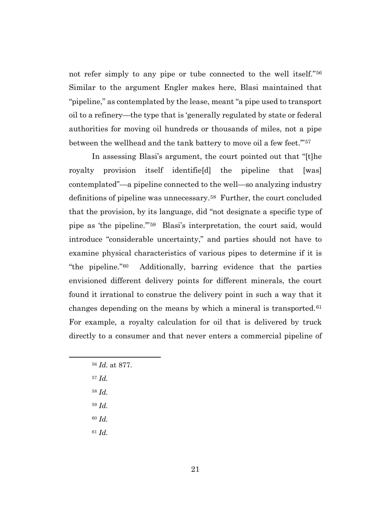not refer simply to any pipe or tube connected to the well itself."56 Similar to the argument Engler makes here, Blasi maintained that "pipeline," as contemplated by the lease, meant "a pipe used to transport oil to a refinery—the type that is 'generally regulated by state or federal authorities for moving oil hundreds or thousands of miles, not a pipe between the wellhead and the tank battery to move oil a few feet."57

In assessing Blasi's argument, the court pointed out that "[t]he royalty provision itself identifie[d] the pipeline that [was] contemplated"—a pipeline connected to the well—so analyzing industry definitions of pipeline was unnecessary.58 Further, the court concluded that the provision, by its language, did "not designate a specific type of pipe as 'the pipeline.'"59 Blasi's interpretation, the court said, would introduce "considerable uncertainty," and parties should not have to examine physical characteristics of various pipes to determine if it is "the pipeline."60 Additionally, barring evidence that the parties envisioned different delivery points for different minerals, the court found it irrational to construe the delivery point in such a way that it changes depending on the means by which a mineral is transported.61 For example, a royalty calculation for oil that is delivered by truck directly to a consumer and that never enters a commercial pipeline of

- <sup>57</sup> *Id.*
- <sup>58</sup> *Id.*
- <sup>59</sup> *Id.*
- <sup>60</sup> *Id.*
- <sup>61</sup> *Id.*

<sup>56</sup> *Id.* at 877.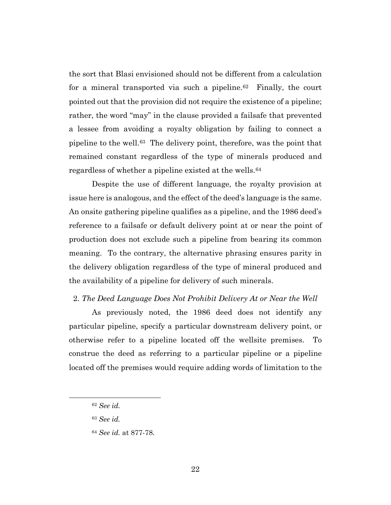the sort that Blasi envisioned should not be different from a calculation for a mineral transported via such a pipeline.<sup>62</sup> Finally, the court pointed out that the provision did not require the existence of a pipeline; rather, the word "may" in the clause provided a failsafe that prevented a lessee from avoiding a royalty obligation by failing to connect a pipeline to the well.63 The delivery point, therefore, was the point that remained constant regardless of the type of minerals produced and regardless of whether a pipeline existed at the wells.64

Despite the use of different language, the royalty provision at issue here is analogous, and the effect of the deed's language is the same. An onsite gathering pipeline qualifies as a pipeline, and the 1986 deed's reference to a failsafe or default delivery point at or near the point of production does not exclude such a pipeline from bearing its common meaning. To the contrary, the alternative phrasing ensures parity in the delivery obligation regardless of the type of mineral produced and the availability of a pipeline for delivery of such minerals.

#### 2. *The Deed Language Does Not Prohibit Delivery At or Near the Well*

As previously noted, the 1986 deed does not identify any particular pipeline, specify a particular downstream delivery point, or otherwise refer to a pipeline located off the wellsite premises. To construe the deed as referring to a particular pipeline or a pipeline located off the premises would require adding words of limitation to the

<sup>62</sup> *See id.*

<sup>63</sup> *See id.*

<sup>64</sup> *See id.* at 877-78.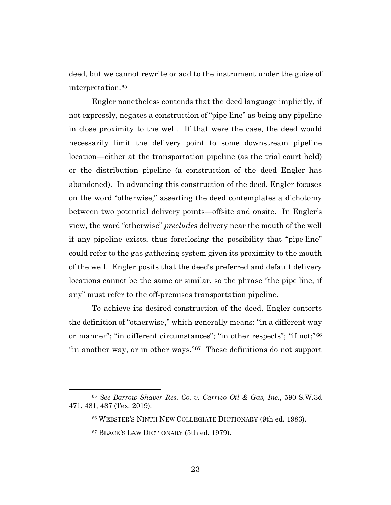deed, but we cannot rewrite or add to the instrument under the guise of interpretation.65

Engler nonetheless contends that the deed language implicitly, if not expressly, negates a construction of "pipe line" as being any pipeline in close proximity to the well. If that were the case, the deed would necessarily limit the delivery point to some downstream pipeline location—either at the transportation pipeline (as the trial court held) or the distribution pipeline (a construction of the deed Engler has abandoned). In advancing this construction of the deed, Engler focuses on the word "otherwise," asserting the deed contemplates a dichotomy between two potential delivery points—offsite and onsite. In Engler's view, the word "otherwise" *precludes* delivery near the mouth of the well if any pipeline exists, thus foreclosing the possibility that "pipe line" could refer to the gas gathering system given its proximity to the mouth of the well. Engler posits that the deed's preferred and default delivery locations cannot be the same or similar, so the phrase "the pipe line, if any" must refer to the off-premises transportation pipeline.

To achieve its desired construction of the deed, Engler contorts the definition of "otherwise," which generally means: "in a different way or manner"; "in different circumstances"; "in other respects"; "if not;"66 "in another way, or in other ways."67 These definitions do not support

<sup>65</sup> *See Barrow-Shaver Res. Co. v. Carrizo Oil & Gas, Inc.*, 590 S.W.3d 471, 481, 487 (Tex. 2019).

<sup>66</sup> WEBSTER'S NINTH NEW COLLEGIATE DICTIONARY (9th ed. 1983).

<sup>67</sup> BLACK'S LAW DICTIONARY (5th ed. 1979).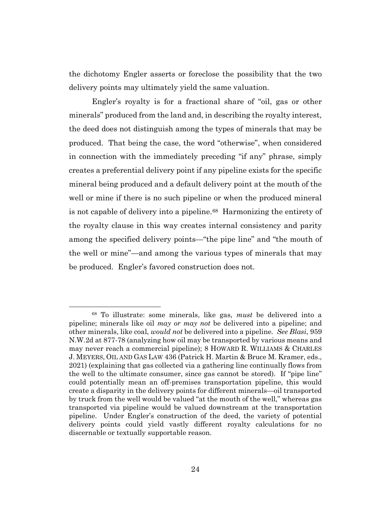the dichotomy Engler asserts or foreclose the possibility that the two delivery points may ultimately yield the same valuation.

Engler's royalty is for a fractional share of "oil, gas or other minerals" produced from the land and, in describing the royalty interest, the deed does not distinguish among the types of minerals that may be produced. That being the case, the word "otherwise", when considered in connection with the immediately preceding "if any" phrase, simply creates a preferential delivery point if any pipeline exists for the specific mineral being produced and a default delivery point at the mouth of the well or mine if there is no such pipeline or when the produced mineral is not capable of delivery into a pipeline.68 Harmonizing the entirety of the royalty clause in this way creates internal consistency and parity among the specified delivery points—"the pipe line" and "the mouth of the well or mine"—and among the various types of minerals that may be produced. Engler's favored construction does not.

<sup>68</sup> To illustrate: some minerals, like gas, *must* be delivered into a pipeline; minerals like oil *may or may not* be delivered into a pipeline; and other minerals, like coal, *would not* be delivered into a pipeline. *See Blasi*, 959 N.W.2d at 877-78 (analyzing how oil may be transported by various means and may never reach a commercial pipeline); 8 HOWARD R. WILLIAMS & CHARLES J. MEYERS, OIL AND GAS LAW 436 (Patrick H. Martin & Bruce M. Kramer, eds., 2021) (explaining that gas collected via a gathering line continually flows from the well to the ultimate consumer, since gas cannot be stored). If "pipe line" could potentially mean an off-premises transportation pipeline, this would create a disparity in the delivery points for different minerals—oil transported by truck from the well would be valued "at the mouth of the well," whereas gas transported via pipeline would be valued downstream at the transportation pipeline. Under Engler's construction of the deed, the variety of potential delivery points could yield vastly different royalty calculations for no discernable or textually supportable reason.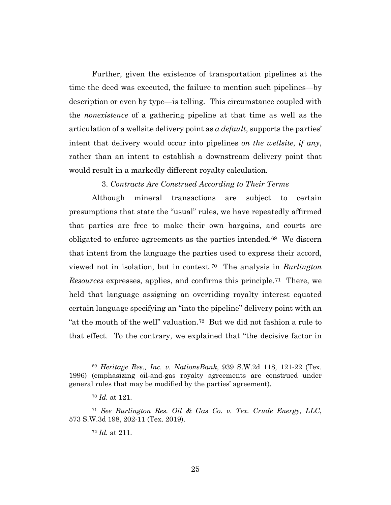Further, given the existence of transportation pipelines at the time the deed was executed, the failure to mention such pipelines—by description or even by type—is telling. This circumstance coupled with the *nonexistence* of a gathering pipeline at that time as well as the articulation of a wellsite delivery point as *a default*, supports the parties' intent that delivery would occur into pipelines *on the wellsite*, *if any*, rather than an intent to establish a downstream delivery point that would result in a markedly different royalty calculation.

3. *Contracts Are Construed According to Their Terms*

Although mineral transactions are subject to certain presumptions that state the "usual" rules, we have repeatedly affirmed that parties are free to make their own bargains, and courts are obligated to enforce agreements as the parties intended.69 We discern that intent from the language the parties used to express their accord, viewed not in isolation, but in context.70 The analysis in *Burlington Resources* expresses, applies, and confirms this principle.71 There, we held that language assigning an overriding royalty interest equated certain language specifying an "into the pipeline" delivery point with an "at the mouth of the well" valuation.72 But we did not fashion a rule to that effect. To the contrary, we explained that "the decisive factor in

<sup>69</sup> *Heritage Res., Inc. v. NationsBank*, 939 S.W.2d 118, 121-22 (Tex. 1996) (emphasizing oil-and-gas royalty agreements are construed under general rules that may be modified by the parties' agreement).

<sup>70</sup> *Id.* at 121.

<sup>71</sup> *See Burlington Res. Oil & Gas Co. v. Tex. Crude Energy, LLC*, 573 S.W.3d 198, 202-11 (Tex. 2019).

<sup>72</sup> *Id.* at 211.